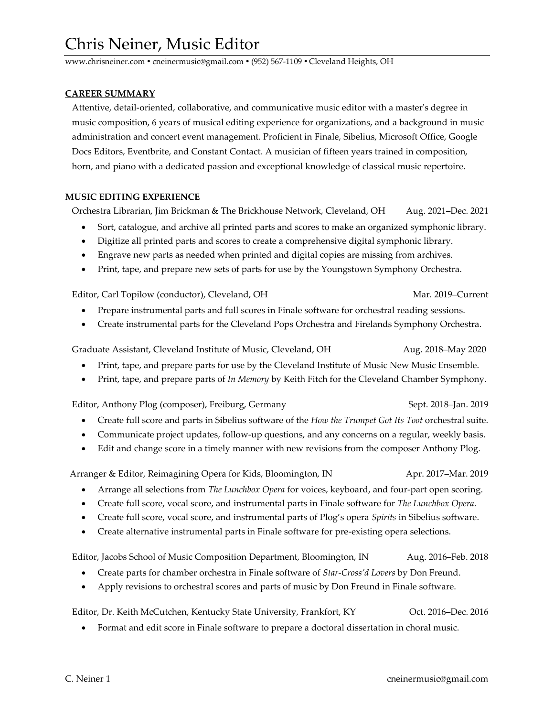www.chrisneiner.com ● cneinermusic@gmail.com ● (952) 567-1109 ● Cleveland Heights, OH

## **CAREER SUMMARY**

 Attentive, detail-oriented, collaborative, and communicative music editor with a master's degree in music composition, 6 years of musical editing experience for organizations, and a background in music administration and concert event management. Proficient in Finale, Sibelius, Microsoft Office, Google Docs Editors, Eventbrite, and Constant Contact. A musician of fifteen years trained in composition, horn, and piano with a dedicated passion and exceptional knowledge of classical music repertoire.

## **MUSIC EDITING EXPERIENCE**

Orchestra Librarian, Jim Brickman & The Brickhouse Network, Cleveland, OH Aug. 2021–Dec. 2021

- Sort, catalogue, and archive all printed parts and scores to make an organized symphonic library.
- Digitize all printed parts and scores to create a comprehensive digital symphonic library.
- Engrave new parts as needed when printed and digital copies are missing from archives.
- Print, tape, and prepare new sets of parts for use by the Youngstown Symphony Orchestra.

Editor, Carl Topilow (conductor), Cleveland, OH Mar. 2019–Current

- Prepare instrumental parts and full scores in Finale software for orchestral reading sessions.
- Create instrumental parts for the Cleveland Pops Orchestra and Firelands Symphony Orchestra.

Graduate Assistant, Cleveland Institute of Music, Cleveland, OH Aug. 2018–May 2020

- Print, tape, and prepare parts for use by the Cleveland Institute of Music New Music Ensemble.
- Print, tape, and prepare parts of *In Memory* by Keith Fitch for the Cleveland Chamber Symphony.

Editor, Anthony Plog (composer), Freiburg, Germany Sept. 2018–Jan. 2019

- Create full score and parts in Sibelius software of the *How the Trumpet Got Its Toot* orchestral suite.
- Communicate project updates, follow-up questions, and any concerns on a regular, weekly basis.
- Edit and change score in a timely manner with new revisions from the composer Anthony Plog.

Arranger & Editor, Reimagining Opera for Kids, Bloomington, IN Apr. 2017–Mar. 2019

- Arrange all selections from *The Lunchbox Opera* for voices, keyboard, and four-part open scoring.
- Create full score, vocal score, and instrumental parts in Finale software for *The Lunchbox Opera*.
- Create full score, vocal score, and instrumental parts of Plog's opera *Spirits* in Sibelius software.
- Create alternative instrumental parts in Finale software for pre-existing opera selections.

Editor, Jacobs School of Music Composition Department, Bloomington, IN Aug. 2016–Feb. 2018

- Create parts for chamber orchestra in Finale software of *Star-Cross'd Lovers* by Don Freund.
- Apply revisions to orchestral scores and parts of music by Don Freund in Finale software.

Editor, Dr. Keith McCutchen, Kentucky State University, Frankfort, KY Oct. 2016–Dec. 2016

• Format and edit score in Finale software to prepare a doctoral dissertation in choral music.